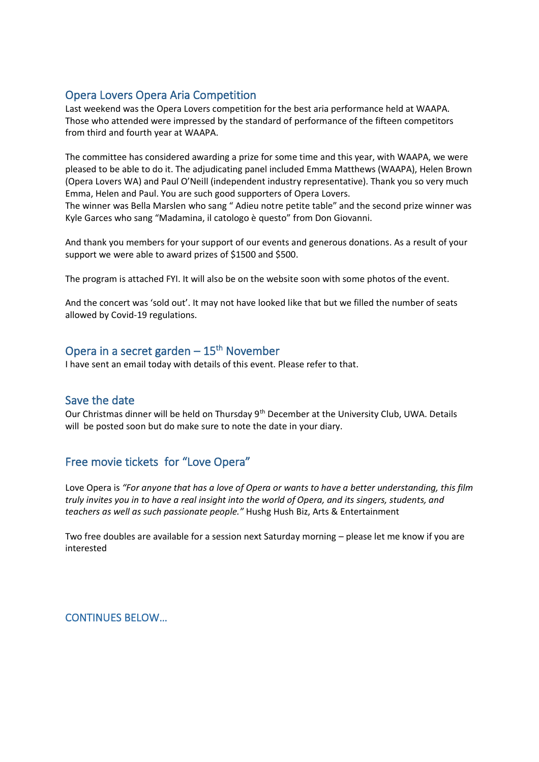# Opera Lovers Opera Aria Competition

Last weekend was the Opera Lovers competition for the best aria performance held at WAAPA. Those who attended were impressed by the standard of performance of the fifteen competitors from third and fourth year at WAAPA.

The committee has considered awarding a prize for some time and this year, with WAAPA, we were pleased to be able to do it. The adjudicating panel included Emma Matthews (WAAPA), Helen Brown (Opera Lovers WA) and Paul O'Neill (independent industry representative). Thank you so very much Emma, Helen and Paul. You are such good supporters of Opera Lovers.

The winner was Bella Marslen who sang " Adieu notre petite table" and the second prize winner was Kyle Garces who sang "Madamina, il catologo è questo" from Don Giovanni.

And thank you members for your support of our events and generous donations. As a result of your support we were able to award prizes of \$1500 and \$500.

The program is attached FYI. It will also be on the website soon with some photos of the event.

And the concert was 'sold out'. It may not have looked like that but we filled the number of seats allowed by Covid-19 regulations.

## Opera in a secret garden – 15<sup>th</sup> November

I have sent an email today with details of this event. Please refer to that.

#### Save the date

Our Christmas dinner will be held on Thursday 9<sup>th</sup> December at the University Club, UWA. Details will be posted soon but do make sure to note the date in your diary.

## Free movie tickets for "Love Opera"

Love Opera is *"For anyone that has a love of Opera or wants to have a better understanding, this film truly invites you in to have a real insight into the world of Opera, and its singers, students, and teachers as well as such passionate people."* Hushg Hush Biz, Arts & Entertainment

Two free doubles are available for a session next Saturday morning – please let me know if you are interested

CONTINUES BELOW…